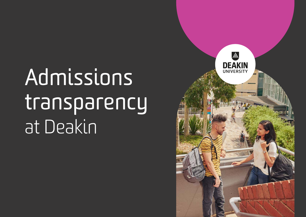# Admissions transparency at Deakin

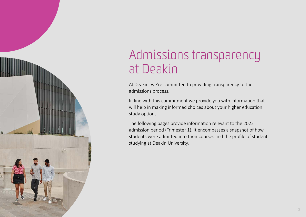

# Admissions transparency at Deakin

At Deakin, we're committed to providing transparency to the admissions process.

In line with this commitment we provide you with information that will help in making informed choices about your higher education study options.

The following pages provide information relevant to the 2022 admission period (Trimester 1). It encompasses a snapshot of how students were admitted into their courses and the profile of students studying at Deakin University.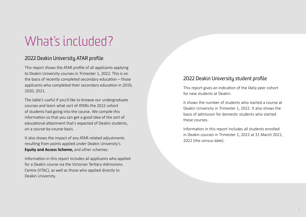# What's included?

#### 2022 Deakin University ATAR profile

This report shows the ATAR profile of all applicants applying to Deakin University courses in Trimester 1, 2022. This is on the basis of recently completed secondary education – those applicants who completed their secondary education in 2019, 2020, 2021.

The table's useful if you'd like to browse our undergraduate courses and learn what sort of ATARs the 2022 cohort of students had going into the course. We compile this information so that you can get a good idea of the sort of educational attainment that's expected of Deakin students, on a course-by-course basis.

It also shows the impact of any ATAR-related adjustments resulting from points applied under Deakin University's **Equity [and Access Scheme,](http://www.deakin.edu.au/courses/entry-pathways/special-entry-access-scheme)** and other schemes.

Information in this report includes all applicants who applied for a Deakin course via the Victorian Tertiary Admissions Centre (VTAC), as well as those who applied directly to Deakin University.

#### 2022 Deakin University student profile

This report gives an indication of the likely peer cohort for new students at Deakin.

It shows the number of students who started a course at Deakin University in Trimester 1, 2022. It also shows the basis of admission for domestic students who started these courses.

Information in this report includes all students enrolled in Deakin courses in Trimester 1, 2022 at 31 March 2021, 2022 (the census date).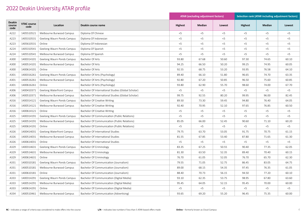|                                 |                            |                            |                                                    | <b>ATAR (excluding adjustment factors)</b> |        |        | <b>Selection rank (ATAR including adjustment factors)</b> |        |        |  |  |
|---------------------------------|----------------------------|----------------------------|----------------------------------------------------|--------------------------------------------|--------|--------|-----------------------------------------------------------|--------|--------|--|--|
| <b>Deakin</b><br>course<br>code | <b>VTAC course</b><br>code | Location                   | Deakin course name                                 | <b>Highest</b>                             | Median | Lowest | <b>Highest</b>                                            | Median | Lowest |  |  |
| A222                            | 1405510521                 | Melbourne Burwood Campus   | Diploma Of Chinese                                 | $<$ 5                                      | $<$ 5  | $<$ 5  | $<$ 5                                                     | $<$ 5  | $<$ 5  |  |  |
| A223                            | 1405310531                 | Geelong Waurn Ponds Campus | Diploma Of Indonesian                              | < 5                                        | < 5    | $<$ 5  | $<$ 5                                                     | $<$ 5  | $<$ 5  |  |  |
| A223                            | 1405610531                 | Online                     | Diploma Of Indonesian                              | $<$ 5                                      | < 5    | $<$ 5  | $<$ 5                                                     | $<$ 5  | $<$ 5  |  |  |
| A224                            | 1405310541                 | Geelong Waurn Ponds Campus | Diploma Of Spanish                                 | $<$ 5                                      | $<$ 5  | $<$ 5  | $<$ 5                                                     | $<$ 5  | $<$ 5  |  |  |
| A224                            | 1405510541                 | Melbourne Burwood Campus   | Diploma Of Spanish                                 | $<$ 5                                      | $<$ 5  | $<$ 5  | $<$ 5                                                     | $<$ 5  | $<$ 5  |  |  |
| A300                            | 1400314101                 | Geelong Waurn Ponds Campus | Bachelor Of Arts                                   | 93.80                                      | 67.68  | 50.60  | 97.30                                                     | 74.65  | 60.10  |  |  |
| A300                            | 1400514101                 | Melbourne Burwood Campus   | Bachelor Of Arts                                   | 94.25                                      | 66.50  | 50.20  | 99.25                                                     | 74.95  | 60.05  |  |  |
| A300                            | 1400614101                 | Online                     | Bachelor Of Arts                                   | 92.55                                      | 68.75  | 53.20  | 93.95                                                     | 76.58  | 64.10  |  |  |
| A301                            | 1400316261                 | Geelong Waurn Ponds Campus | Bachelor Of Arts (Psychology)                      | 89.40                                      | 66.10  | 51.80  | 96.65                                                     | 74.70  | 63.35  |  |  |
| A301                            | 1400516261                 | Melbourne Burwood Campus   | Bachelor Of Arts (Psychology)                      | 92.80                                      | 67.20  | 50.85  | 96.50                                                     | 75.60  | 60.85  |  |  |
| A301                            | 1400616261                 | Online                     | Bachelor Of Arts (Psychology)                      | 93.80                                      | 62.90  | 55.70  | 98.60                                                     | 74.00  | 67.70  |  |  |
| A306                            | 1400410371                 | Geelong Waterfront Campus  | Bachelor Of International Studies (Global Scholar) | $<$ 5                                      | $<$ 5  | $<$ 5  | $<$ 5                                                     | $<$ 5  | $<$ 5  |  |  |
| A306                            | 1400510371                 | Melbourne Burwood Campus   | Bachelor Of International Studies (Global Scholar) | 99.75                                      | 92.55  | 80.20  | 99.95                                                     | 96.00  | 82.45  |  |  |
| A316                            | 1400314121                 | Geelong Waurn Ponds Campus | Bachelor Of Creative Writing                       | 89.50                                      | 73.30  | 59.45  | 94.80                                                     | 76.40  | 64.05  |  |  |
| A316                            | 1400514121                 | Melbourne Burwood Campus   | Bachelor Of Creative Writing                       | 92.40                                      | 70.95  | 52.10  | 97.65                                                     | 76.85  | 60.50  |  |  |
| A316                            | 1400614121                 | Online                     | Bachelor Of Creative Writing                       | $<$ 5                                      | $<$ 5  | $<$ 5  | $<$ 5                                                     | $<$ 5  | < 5    |  |  |
| A325                            | 1400314191                 | Geelong Waurn Ponds Campus | Bachelor Of Communication (Public Relations)       | < 5                                        | < 5    | $<$ 5  | $<$ 5                                                     | $<$ 5  | $<$ 5  |  |  |
| A325                            | 1400514191                 | Melbourne Burwood Campus   | Bachelor Of Communication (Public Relations)       | 85.05                                      | 66.00  | 52.45  | 90.60                                                     | 71.10  | 60.20  |  |  |
| A325                            | 1400614191                 | Online                     | Bachelor Of Communication (Public Relations)       | $<$ 5                                      | $<$ 5  | $<$ 5  | $<$ 5                                                     | $<$ 5  | $<$ 5  |  |  |
| A326                            | 1400414031                 | Geelong Waterfront Campus  | Bachelor Of International Studies                  | 79.75                                      | 63.70  | 53.05  | 91.75                                                     | 70.75  | 61.15  |  |  |
| A326                            | 1400514031                 | Melbourne Burwood Campus   | Bachelor Of International Studies                  | 81.55                                      | 67.85  | 53.40  | 87.80                                                     | 71.65  | 61.30  |  |  |
| A326                            | 1400614031                 | Online                     | Bachelor Of International Studies                  | $<$ 5                                      | $<$ 5  | $<$ 5  | $<$ 5                                                     | $<$ 5  | < 5    |  |  |
| A329                            | 1400314631                 | Geelong Waurn Ponds Campus | Bachelor Of Criminology                            | 83.35                                      | 67.25  | 50.55  | 90.40                                                     | 77.35  | 62.05  |  |  |
| A329                            | 1400514631                 | Melbourne Burwood Campus   | Bachelor Of Criminology                            | 81.30                                      | 63.50  | 52.35  | 89.40                                                     | 70.40  | 60.15  |  |  |
| A329                            | 1400614631                 | Online                     | Bachelor Of Criminology                            | 76.70                                      | 61.05  | 52.05  | 76.70                                                     | 65.70  | 62.30  |  |  |
| A331                            | 1400310181                 | Geelong Waurn Ponds Campus | Bachelor Of Communication (Journalism)             | 79.55                                      | 71.05  | 52.75  | 86.45                                                     | 83.05  | 64.75  |  |  |
| A331                            | 1400510181                 | Melbourne Burwood Campus   | Bachelor Of Communication (Journalism)             | 89.00                                      | 68.15  | 54.35  | 97.45                                                     | 76.35  | 61.05  |  |  |
| A331                            | 1400610181                 | Online                     | Bachelor Of Communication (Journalism)             | 88.40                                      | 70.73  | 56.15  | 94.50                                                     | 77.20  | 60.10  |  |  |
| A333                            | 1400314291                 | Geelong Waurn Ponds Campus | Bachelor Of Communication (Digital Media)          | 93.10                                      | 62.35  | 53.75  | 98.95                                                     | 67.80  | 63.60  |  |  |
| A333                            | 1400514291                 | Melbourne Burwood Campus   | Bachelor Of Communication (Digital Media)          | 95.45                                      | 64.05  | 52.15  | 95.45                                                     | 70.00  | 60.00  |  |  |
| A333                            | 1400614291                 | Online                     | Bachelor Of Communication (Digital Media)          | $<$ 5                                      | $<$ 5  | $<$ 5  | $<$ 5                                                     | $<$ 5  | $<$ 5  |  |  |
| A334                            | 1400510461                 | Melbourne Burwood Campus   | Bachelor Of Communication (Advertising)            | 93.65                                      | 69.20  | 55.20  | 96.45                                                     | 75.35  | 60.00  |  |  |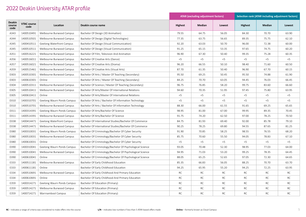|                                 |                            |                            |                                                           | <b>ATAR (excluding adjustment factors)</b> |           |           | Selection rank (ATAR including adjustment factors) |           |           |  |
|---------------------------------|----------------------------|----------------------------|-----------------------------------------------------------|--------------------------------------------|-----------|-----------|----------------------------------------------------|-----------|-----------|--|
| <b>Deakin</b><br>course<br>code | <b>VTAC course</b><br>code | Location                   | Deakin course name                                        | <b>Highest</b>                             | Median    | Lowest    | <b>Highest</b>                                     | Median    | Lowest    |  |
| A343                            | 1400510491                 | Melbourne Burwood Campus   | Bachelor Of Design (3D Animation)                         | 79.55                                      | 64.75     | 56.05     | 84.30                                              | 70.70     | 63.90     |  |
| A344                            | 1400510501                 | Melbourne Burwood Campus   | Bachelor Of Design (Digital Technologies)                 | 77.35                                      | 63.75     | 56.65     | 89.35                                              | 75.75     | 62.10     |  |
| A345                            | 1400410511                 | Geelong Waterfront Campus  | Bachelor Of Design (Visual Communication)                 | 92.20                                      | 63.03     | 50.70     | 96.00                                              | 72.38     | 60.00     |  |
| A345                            | 1400510511                 | Melbourne Burwood Campus   | Bachelor Of Design (Visual Communication)                 | 91.25                                      | 65.15     | 53.35     | 97.65                                              | 74.75     | 60.20     |  |
| A351                            | 1400516221                 | Melbourne Burwood Campus   | Bachelor Of Film, Television And Animation                | 96.90                                      | 67.30     | 50.40     | 99.35                                              | 75.28     | 60.35     |  |
| A356                            | 1400516011                 | Melbourne Burwood Campus   | Bachelor Of Creative Arts (Dance)                         | $<$ 5                                      | $<$ 5     | $<$ 5     | $<$ 5                                              | < 5       | $<$ 5     |  |
| A357                            | 1400516021                 | Melbourne Burwood Campus   | Bachelor Of Creative Arts (Drama)                         | 96.20                                      | 66.55     | 50.10     | 98.40                                              | 71.60     | 60.50     |  |
| A359                            | 1400515461                 | Melbourne Burwood Campus   | Bachelor Of Creative Arts (Visual Arts)                   | 87.70                                      | 61.35     | 50.40     | 96.90                                              | 67.70     | 60.15     |  |
| D303                            | 1400510301                 | Melbourne Burwood Campus   | Bachelor Of Arts / Master Of Teaching (Secondary)         | 95.50                                      | 69.25     | 50.45     | 95.50                                              | 74.88     | 61.90     |  |
| D303                            | 1400610301                 | Online                     | Bachelor Of Arts / Master Of Teaching (Secondary)         | 84.25                                      | 70.70     | 63.05     | 94.45                                              | 76.03     | 66.45     |  |
| D304                            | 1400510311                 | Melbourne Burwood Campus   | Bachelor Of Science / Master Of Teaching (Secondary)      | 96.75                                      | 76.85     | 58.20     | 99.75                                              | 83.60     | 66.60     |  |
| D305                            | 1400510411                 | Melbourne Burwood Campus   | Bachelor Of Arts/Master Of International Relations        | 94.60                                      | 70.35     | 51.95     | 97.45                                              | 75.80     | 63.95     |  |
| D305                            | 1400610411                 | Online                     | Bachelor Of Arts/Master Of International Relations        | $<$ 5                                      | < 5       | $<$ 5     | $<$ 5                                              | $<$ 5     | $<$ 5     |  |
| D310                            | 1400310701                 | Geelong Waurn Ponds Campus | Bachelor Of Arts / Bachelor Of Information Technology     | $<$ 5                                      | < 5       | $<$ 5     | $<$ 5                                              | $<$ 5     | $<$ 5     |  |
| D310                            | 1400510701                 | Melbourne Burwood Campus   | Bachelor Of Arts / Bachelor Of Information Technology     | 88.30                                      | 66.00     | 61.55     | 91.65                                              | 69.25     | 65.65     |  |
| D311                            | 1400314391                 | Geelong Waurn Ponds Campus | Bachelor Of Arts/Bachelor Of Science                      | 98.95                                      | 81.00     | 67.00     | 99.95                                              | 89.35     | 70.45     |  |
| D311                            | 1400514391                 | Melbourne Burwood Campus   | Bachelor Of Arts/Bachelor Of Science                      | 91.75                                      | 74.20     | 62.50     | 97.00                                              | 78.25     | 70.50     |  |
| D338                            | 1400414471                 | Geelong Waterfront Campus  | Bachelor Of International Studies/Bachelor Of Commerce    | 84.75                                      | 81.93     | 69.40     | 92.00                                              | 85.78     | 79.10     |  |
| D338                            | 1400514471                 | Melbourne Burwood Campus   | Bachelor Of International Studies/Bachelor Of Commerce    | 90.25                                      | 78.25     | 69.80     | 94.55                                              | 87.65     | 81.25     |  |
| D380                            | 1400310031                 | Geelong Waurn Ponds Campus | Bachelor Of Criminology/Bachelor Of Cyber Security        | 91.90                                      | 70.85     | 58.25     | 98.55                                              | 76.55     | 68.20     |  |
| D380                            | 1400510031                 | Melbourne Burwood Campus   | Bachelor Of Criminology/Bachelor Of Cyber Security        | 85.75                                      | 70.60     | 55.50     | 94.05                                              | 78.83     | 67.10     |  |
| D380                            | 1400610031                 | Online                     | Bachelor Of Criminology/Bachelor Of Cyber Security        | $<$ 5                                      | < 5       | $<$ 5     | $<$ 5                                              | < 5       | $<$ 5     |  |
| D390                            | 1400310041                 | Geelong Waurn Ponds Campus | Bachelor Of Criminology/Bachelor Of Psychological Science | 93.05                                      | 70.48     | 52.30     | 98.95                                              | 77.03     | 64.00     |  |
| D390                            | 1400510041                 | Melbourne Burwood Campus   | Bachelor Of Criminology/Bachelor Of Psychological Science | 94.95                                      | 71.03     | 53.20     | 99.25                                              | 78.35     | 64.45     |  |
| D390                            | 1400610041                 | Online                     | Bachelor Of Criminology/Bachelor Of Psychological Science | 88.05                                      | 65.25     | 52.65     | 97.05                                              | 72.30     | 64.65     |  |
| E333                            | 1400511181                 | Melbourne Burwood Campus   | Bachelor Of Early Childhood Education                     | 85.35                                      | 66.83     | 56.05     | 88.25                                              | 70.70     | 63.70     |  |
| E333                            | 1400611181                 | Online                     | Bachelor Of Early Childhood Education                     | 94.25                                      | 65.95     | 55.20     | 94.25                                              | 72.25     | 63.95     |  |
| E334                            | 1400510691                 | Melbourne Burwood Campus   | Bachelor Of Early Childhood And Primary Education         | RC                                         | <b>RC</b> | <b>RC</b> | <b>RC</b>                                          | <b>RC</b> | <b>RC</b> |  |
| E334                            | 1400610691                 | Online                     | Bachelor Of Early Childhood And Primary Education         | <b>RC</b>                                  | <b>RC</b> | <b>RC</b> | <b>RC</b>                                          | <b>RC</b> | <b>RC</b> |  |
| E359                            | 1400314271                 | Geelong Waurn Ponds Campus | Bachelor Of Education (Primary)                           | RC                                         | <b>RC</b> | <b>RC</b> | <b>RC</b>                                          | RC        | <b>RC</b> |  |
| E359                            | 1400514271                 | Melbourne Burwood Campus   | Bachelor Of Education (Primary)                           | <b>RC</b>                                  | <b>RC</b> | <b>RC</b> | <b>RC</b>                                          | RC        | <b>RC</b> |  |
| E359                            | 1400714271                 | Warrnambool Campus         | Bachelor Of Education (Primary)                           | <b>RC</b>                                  | <b>RC</b> | <b>RC</b> | <b>RC</b>                                          | <b>RC</b> | <b>RC</b> |  |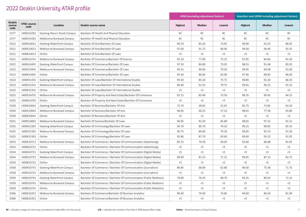|                                 |                            |                                  |                                                                     | <b>ATAR (excluding adjustment factors)</b> |               |           | <b>Selection rank (ATAR including adjustment factors)</b> |           |           |  |  |
|---------------------------------|----------------------------|----------------------------------|---------------------------------------------------------------------|--------------------------------------------|---------------|-----------|-----------------------------------------------------------|-----------|-----------|--|--|
| <b>Deakin</b><br>course<br>code | <b>VTAC course</b><br>code | Location                         | Deakin course name                                                  | <b>Highest</b>                             | <b>Median</b> | Lowest    | <b>Highest</b>                                            | Median    | Lowest    |  |  |
| E377                            | 1400314281                 | Geelong Waurn Ponds Campus       | Bachelor Of Health And Physical Education                           | RC                                         | <b>RC</b>     | <b>RC</b> | <b>RC</b>                                                 | <b>RC</b> | <b>RC</b> |  |  |
| E377                            | 1400514281                 | Melbourne Burwood Campus         | Bachelor Of Health And Physical Education                           | <b>RC</b>                                  | RC            | <b>RC</b> | <b>RC</b>                                                 | <b>RC</b> | RC        |  |  |
| D312                            | 1400414011                 | Geelong Waterfront Campus        | Bachelor Of Arts/Bachelor Of Laws                                   | 99.70                                      | 85.20         | 74.95     | 99.90                                                     | 91.35     | 86.95     |  |  |
| D312                            | 1400514011                 | Melbourne Burwood Campus         | Bachelor Of Arts/Bachelor Of Laws                                   | 97.00                                      | 91.75         | 80.40     | 99.40                                                     | 96.40     | 91.55     |  |  |
| D312                            | 1400614011                 | Online                           | Bachelor Of Arts/Bachelor Of Laws                                   | $<$ 5                                      | < 5           | $<$ 5     | $<$ 5                                                     | $<$ 5     | $<$ 5     |  |  |
| D321                            | 1400514741                 | Melbourne Burwood Campus         | Bachelor Of Commerce/Bachelor Of Science                            | 92.10                                      | 77.90         | 75.15     | 97.05                                                     | 84.85     | 81.50     |  |  |
| D322                            | 1400414491                 | Geelong Waterfront Campus        | Bachelor Of Commerce/Bachelor Of Laws                               | 97.10                                      | 84.80         | 73.05     | 98.55                                                     | 91.48     | 85.05     |  |  |
| D322                            | 1400514491                 | Melbourne Burwood Campus         | Bachelor Of Commerce/Bachelor Of Laws                               | 99.15                                      | 90.60         | 79.30     | 99.95                                                     | 94.98     | 91.00     |  |  |
| D322                            | 1400614491                 | Online                           | Bachelor Of Commerce/Bachelor Of Laws                               | 95.40                                      | 86.80         | 83.90     | 97.90                                                     | 89.85     | 86.00     |  |  |
| D323                            | 1400415331                 | Geelong Waterfront Campus        | Bachelor Of Laws/Bachelor Of International Studies                  | 95.50                                      | 85.20         | 75.75     | 98.80                                                     | 92.20     | 86.35     |  |  |
| D323                            | 1400515331                 | Melbourne Burwood Campus         | Bachelor Of Laws/Bachelor Of International Studies                  | 96.40                                      | 91.53         | 79.75     | 99.65                                                     | 96.23     | 91.35     |  |  |
| D323                            | 1400615331                 | Online                           | Bachelor Of Laws/Bachelor Of International Studies                  | $<$ 5                                      | < 5           | $<$ 5     | $<$ 5                                                     | $<$ 5     | < 5       |  |  |
| D325                            | 1400514701                 | Melbourne Burwood Campus         | Bachelor Of Property And Real Estate/Bachelor Of Commerce           | 92.15                                      | 83.48         | 73.50     | 98.35                                                     | 90.45     | 84.15     |  |  |
| D325                            | 1400614701                 | Online                           | Bachelor Of Property And Real Estate/Bachelor Of Commerce           | $<$ 5                                      | $<$ 5         | $<$ 5     | $<$ 5                                                     | $<$ 5     | < 5       |  |  |
| D330                            | 1400410641                 | <b>Geelong Waterfront Campus</b> | Bachelor Of Business/Bachelor Of Arts                               | 75.70                                      | 68.85         | 52.65     | 85.75                                                     | 73.85     | 63.20     |  |  |
| D330                            | 1400510641                 | Melbourne Burwood Campus         | Bachelor Of Business/Bachelor Of Arts                               | 96.05                                      | 69.25         | 57.10     | 98.65                                                     | 77.58     | 65.80     |  |  |
| D330                            | 1400610641                 | Online                           | Bachelor Of Business/Bachelor Of Arts                               | $<$ 5                                      | < 5           | $<$ 5     | $<$ 5                                                     | < 5       | $<$ 5     |  |  |
| D331                            | 1400514001                 | Melbourne Burwood Campus         | Bachelor Of Science/Bachelor Of Laws                                | 96.05                                      | 92.20         | 85.80     | 98.65                                                     | 97.25     | 91.15     |  |  |
| D335                            | 1400415301                 | <b>Geelong Waterfront Campus</b> | Bachelor Of Criminology/Bachelor Of Laws                            | 94.70                                      | 80.70         | 74.20     | 99.25                                                     | 90.85     | 85.35     |  |  |
| D335                            | 1400515301                 | Melbourne Burwood Campus         | Bachelor Of Criminology/Bachelor Of Laws                            | 96.75                                      | 89.90         | 79.30     | 99.05                                                     | 95.13     | 91.30     |  |  |
| D335                            | 1400615301                 | Online                           | Bachelor Of Criminology/Bachelor Of Laws                            | 95.80                                      | 87.70         | 83.60     | 99.60                                                     | 95.25     | 91.05     |  |  |
| D353                            | 1400510711                 | Melbourne Burwood Campus         | Bachelor Of Commerce / Bachelor Of Communication (Advertising)      | 85.75                                      | 79.78         | 69.05     | 92.60                                                     | 86.08     | 81.05     |  |  |
| D353                            | 1400610711                 | Online                           | Bachelor Of Commerce / Bachelor Of Communication (Advertising)      | $<$ 5                                      | < 5           | $<$ 5     | $<$ 5                                                     | $<$ 5     | $<$ 5     |  |  |
| D354                            | 1400410721                 | Geelong Waterfront Campus        | Bachelor Of Commerce / Bachelor Of Communication (Digital Media)    | $<$ 5                                      | < 5           | $<$ 5     | $<$ 5                                                     | $<$ 5     | $<$ 5     |  |  |
| D354                            | 1400510721                 | Melbourne Burwood Campus         | Bachelor Of Commerce / Bachelor Of Communication (Digital Media)    | 99.00                                      | 81.55         | 71.15     | 99.95                                                     | 87.13     | 82.75     |  |  |
| D354                            | 1400610721                 | Online                           | Bachelor Of Commerce / Bachelor Of Communication (Digital Media)    | $<$ 5                                      | < 5           | $<$ 5     | $<$ 5                                                     | < 5       | $<$ 5     |  |  |
| D358                            | 1400410731                 | Geelong Waterfront Campus        | Bachelor Of Commerce / Bachelor Of Communication (Journalism)       | 86.85                                      | 68.68         | 62.80     | 96.60                                                     | 75.38     | 71.75     |  |  |
| D358                            | 1400510731                 | Melbourne Burwood Campus         | Bachelor Of Commerce / Bachelor Of Communication (Journalism)       | $<$ 5                                      | $<$ 5         | $<$ 5     | $<$ 5                                                     | $<$ 5     | $<$ 5     |  |  |
| D359                            | 1400410741                 | Geelong Waterfront Campus        | Bachelor Of Commerce / Bachelor Of Communication (Public Relations) | 79.00                                      | 76.35         | 68.70     | 83.35                                                     | 80.50     | 71.15     |  |  |
| D359                            | 1400510741                 | Melbourne Burwood Campus         | Bachelor Of Commerce / Bachelor Of Communication (Public Relations) | $<$ 5                                      | < 5           | $<$ 5     | $<$ 5                                                     | < 5       | $<$ 5     |  |  |
| D359                            | 1400610741                 | Online                           | Bachelor Of Commerce / Bachelor Of Communication (Public Relations) | $<$ 5                                      | < 5           | $<$ 5     | $<$ 5                                                     | < 5       | $<$ 5     |  |  |
| D366                            | 1400516351                 | Melbourne Burwood Campus         | Bachelor Of Commerce/Bachelor Of Business Analytics                 | 90.40                                      | 79.30         | 74.85     | 94.00                                                     | 86.50     | 81.90     |  |  |
| D366                            | 1400616351                 | Online                           | Bachelor Of Commerce/Bachelor Of Business Analytics                 | $<$ 5                                      | $<$ 5         | $<$ 5     | $<$ 5                                                     | $<$ 5     | $<$ 5     |  |  |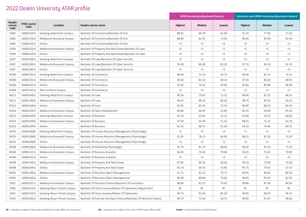|                                 |                            |                                  |                                                                      | <b>ATAR (excluding adjustment factors)</b> |        |           | <b>Selection rank (ATAR including adjustment factors)</b> |        |        |  |  |
|---------------------------------|----------------------------|----------------------------------|----------------------------------------------------------------------|--------------------------------------------|--------|-----------|-----------------------------------------------------------|--------|--------|--|--|
| <b>Deakin</b><br>course<br>code | <b>VTAC course</b><br>code | Location                         | Deakin course name                                                   | <b>Highest</b>                             | Median | Lowest    | <b>Highest</b>                                            | Median | Lowest |  |  |
| D385                            | 1400414431                 | Geelong Waterfront Campus        | Bachelor Of Commerce/Bachelor Of Arts                                | 88.65                                      | 69.70  | 65.00     | 91.20                                                     | 77.95  | 72.25  |  |  |
| D385                            | 1400514431                 | Melbourne Burwood Campus         | Bachelor Of Commerce/Bachelor Of Arts                                | 88.80                                      | 82.45  | 73.30     | 96.60                                                     | 85.80  | 81.40  |  |  |
| D385                            | 1400614431                 | Online                           | Bachelor Of Commerce/Bachelor Of Arts                                | $<$ 5                                      | $<$ 5  | $<$ 5     | < 5                                                       | 5      | < 5    |  |  |
| D396                            | 1400510101                 | Melbourne Burwood Campus         | Bachelor Of Property And Real Estate/Bachelor Of Laws                | < 5                                        | < 5    | < 5       | < 5                                                       | < 5    | < 5    |  |  |
| D396                            | 1400610101                 | Online                           | Bachelor Of Property And Real Estate/Bachelor Of Laws                | < 5                                        | $<$ 5  | $<$ 5     | 5                                                         | < 5    | < 5    |  |  |
| D397                            | 1400410651                 | Geelong Waterfront Campus        | Bachelor Of Laws/Bachelor Of Cyber Security                          | < 5                                        | $<$ 5  | $<$ 5     | $<$ 5                                                     | $<$ 5  | < 5    |  |  |
| D397                            | 1400510651                 | Melbourne Burwood Campus         | Bachelor Of Laws/Bachelor Of Cyber Security                          | 95.00                                      | 86.50  | 83.20     | 97.70                                                     | 94.50  | 91.10  |  |  |
| D397                            | 1400610651                 | Online                           | Bachelor Of Laws/Bachelor Of Cyber Security                          | $<$ 5                                      | $<$ 5  | $<$ 5     | $<$ 5                                                     | < 5    | $<$ 5  |  |  |
| M300                            | 1400414511                 | Geelong Waterfront Campus        | Bachelor Of Commerce                                                 | 98.60                                      | 73.23  | 59.75     | 99.40                                                     | 81.15  | 70.15  |  |  |
| M300                            | 1400514511                 | Melbourne Burwood Campus         | Bachelor Of Commerce                                                 | 94.60                                      | 81.10  | 68.10     | 97.65                                                     | 86.30  | 80.05  |  |  |
| M300                            | 1400614511                 | Online                           | Bachelor Of Commerce                                                 | 91.05                                      | 76.05  | 59.85     | 95.65                                                     | 80.88  | 68.90  |  |  |
| M300                            | 1400714511                 | Warrnambool Campus               | Bachelor Of Commerce                                                 | $<$ 5                                      | $<$ 5  | $<$ 5     | $<$ 5                                                     | $<$ 5  | $<$ 5  |  |  |
| M312                            | 1400414061                 | Geelong Waterfront Campus        | Bachelor Of Laws                                                     | 95.50                                      | 79.05  | 72.25     | 98.60                                                     | 87.55  | 84.25  |  |  |
| M312                            | 1400514061                 | Melbourne Burwood Campus         | Bachelor Of Laws                                                     | 96.95                                      | 88.10  | 80.40     | 98.70                                                     | 94.55  | 90.35  |  |  |
| M312                            | 1400614061                 | Online                           | Bachelor Of Laws                                                     | 95.05                                      | 85.30  | 73.45     | 96.90                                                     | 88.23  | 85.45  |  |  |
| M320                            | 1400514421                 | Melbourne Burwood Campus         | Bachelor Of Sport Development                                        | 80.80                                      | 64.95  | 53.85     | 82.55                                                     | 69.60  | 65.45  |  |  |
| M325                            | 1400414091                 | <b>Geelong Waterfront Campus</b> | <b>Bachelor Of Business</b>                                          | 92.20                                      | 63.93  | 51.15     | 95.80                                                     | 70.23  | 60.05  |  |  |
| M325                            | 1400514091                 | Melbourne Burwood Campus         | <b>Bachelor Of Business</b>                                          | 97.50                                      | 65.40  | 51.10     | 98.55                                                     | 71.15  | 63.10  |  |  |
| M325                            | 1400614091                 | Online                           | <b>Bachelor Of Business</b>                                          | 92.35                                      | 68.75  | 51.60     | 93.10                                                     | 74.45  | 60.75  |  |  |
| M335                            | 1400410681                 | Geelong Waterfront Campus        | Bachelor Of Human Resource Management (Psychology)                   | $<$ 5                                      | $<$ 5  | $<$ 5     | $<$ 5                                                     | $<$ 5  | $<$ 5  |  |  |
| M335                            | 1400510681                 | Melbourne Burwood Campus         | Bachelor Of Human Resource Management (Psychology)                   | 91.95                                      | 78.23  | 64.00     | 98.15                                                     | 82.30  | 73.20  |  |  |
| M335                            | 1400610681                 | Online                           | Bachelor Of Human Resource Management (Psychology)                   | $<$ 5                                      | $<$ 5  | $<$ 5     | $<$ 5                                                     | $<$ 5  | $<$ 5  |  |  |
| M336                            | 1400510661                 | Melbourne Burwood Campus         | Bachelor Of Marketing (Psychology)                                   | 92.70                                      | 81.10  | 68.05     | 96.35                                                     | 87.53  | 73.70  |  |  |
| M340                            | 1400514211                 | Melbourne Burwood Campus         | Bachelor Of Business Analytics                                       | 94.65                                      | 74.45  | 70.00     | 94.65                                                     | 74.45  | 70.00  |  |  |
| M340                            | 1400614211                 | Online                           | Bachelor Of Business Analytics                                       | $<$ 5                                      | $<$ 5  | $<$ 5     | $<$ 5                                                     | $<$ 5  | < 5    |  |  |
| M348                            | 1400514451                 | Melbourne Burwood Campus         | Bachelor Of Property And Real Estate                                 | 97.85                                      | 69.35  | 58.40     | 99.10                                                     | 75.00  | 70.30  |  |  |
| M348                            | 1400614451                 | Online                           | Bachelor Of Property And Real Estate                                 | 85.20                                      | 66.70  | 55.85     | 95.75                                                     | 74.65  | 67.10  |  |  |
| M391                            | 1400514661                 | Melbourne Burwood Campus         | Bachelor Of Business (Sport Management)                              | 91.75                                      | 82.20  | 70.75     | 94.95                                                     | 86.85  | 80.20  |  |  |
| M391                            | 1400614661                 | Online                           | Bachelor Of Business (Sport Management)                              | 96.00                                      | 89.80  | 76.85     | 99.65                                                     | 93.45  | 82.95  |  |  |
| D301                            | 1400510111                 | Melbourne Burwood Campus         | Bachelor Of Nutrition Science/Bachelor Of Commerce                   | 96.85                                      | 81.55  | 79.45     | 99.80                                                     | 87.30  | 84.35  |  |  |
| D302                            | 1400310261                 | Geelong Waurn Ponds Campus       | Bachelor Of Vision Science/Master Of Optometry (Reg & Rem)           | RC                                         | RC     | <b>RC</b> | RC                                                        | RC     | RC     |  |  |
| D302                            | 1400315541                 | Geelong Waurn Ponds Campus       | Bachelor Of Vision Science/Master Of Optometry                       | 99.75                                      | 95.60  | 85.20     | 99.95                                                     | 98.45  | 95.55  |  |  |
| D333                            | 1400310611                 | Geelong Waurn Ponds Campus       | Bachelor Of Exercise And Sport Science/Bachelor Of Nutrition Science | 98.70                                      | 72.60  | 56.75     | 99.95                                                     | 81.05  | 68.00  |  |  |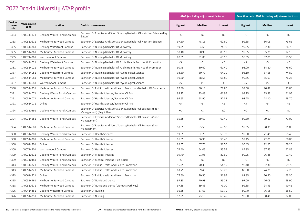|                                 |                            |                            |                                                                                               | <b>ATAR (excluding adjustment factors)</b> |           |           | Selection rank (ATAR including adjustment factors) |           |           |  |
|---------------------------------|----------------------------|----------------------------|-----------------------------------------------------------------------------------------------|--------------------------------------------|-----------|-----------|----------------------------------------------------|-----------|-----------|--|
| <b>Deakin</b><br>course<br>code | <b>VTAC course</b><br>code | Location                   | Deakin course name                                                                            | <b>Highest</b>                             | Median    | Lowest    | <b>Highest</b>                                     | Median    | Lowest    |  |
| D333                            | 1400311171                 | Geelong Waurn Ponds Campus | Bachelor Of Exercise And Sport Science/Bachelor Of Nutrition Science (Reg<br>& Rem)           | RC                                         | RC        | RC        | <b>RC</b>                                          | RC        | RC        |  |
| D333                            | 1400510611                 | Melbourne Burwood Campus   | Bachelor Of Exercise And Sport Science/Bachelor Of Nutrition Science                          | 97.50                                      | 78.15     | 62.60     | 99.35                                              | 86.05     | 73.65     |  |
| D355                            | 1400414361                 | Geelong Waterfront Campus  | Bachelor Of Nursing/Bachelor Of Midwifery                                                     | 99.25                                      | 84.65     | 74.70     | 99.95                                              | 92.30     | 86.70     |  |
| D355                            | 1400514361                 | Melbourne Burwood Campus   | Bachelor Of Nursing/Bachelor Of Midwifery                                                     | 98.40                                      | 90.90     | 80.10     | 99.85                                              | 95.75     | 92.10     |  |
| D355                            | 1400714361                 | Warrnambool Campus         | Bachelor Of Nursing/Bachelor Of Midwifery                                                     | 87.55                                      | 81.80     | 65.10     | 95.55                                              | 87.05     | 75.55     |  |
| D381                            | 1400414021                 | Geelong Waterfront Campus  | Bachelor Of Nursing/Bachelor Of Public Health And Health Promotion                            | $<$ 5                                      | $<$ 5     | $<$ 5     | $<$ 5                                              | $<$ 5     | $<$ 5     |  |
| D381                            | 1400514021                 | Melbourne Burwood Campus   | Bachelor Of Nursing/Bachelor Of Public Health And Health Promotion                            | 90.45                                      | 80.60     | 67.40     | 98.00                                              | 84.20     | 76.60     |  |
| D387                            | 1400414081                 | Geelong Waterfront Campus  | Bachelor Of Nursing/Bachelor Of Psychological Science                                         | 93.30                                      | 80.70     | 64.30     | 98.10                                              | 87.65     | 74.80     |  |
| D387                            | 1400514081                 | Melbourne Burwood Campus   | Bachelor Of Nursing/Bachelor Of Psychological Science                                         | 99.20                                      | 78.58     | 66.80     | 99.85                                              | 85.03     | 76.25     |  |
| D387                            | 1400714081                 | Warrnambool Campus         | Bachelor Of Nursing/Bachelor Of Psychological Science                                         | $<$ 5                                      | < 5       | $<$ 5     | $<$ 5                                              | $<$ 5     | < 5       |  |
| D388                            | 1400514251                 | Melbourne Burwood Campus   | Bachelor Of Public Health And Health Promotion/Bachelor Of Commerce                           | 97.80                                      | 80.18     | 71.80     | 99.50                                              | 90.48     | 83.80     |  |
| D391                            | 1400314071                 | Geelong Waurn Ponds Campus | Bachelor Of Health Sciences/Bachelor Of Arts                                                  | 98.15                                      | 75.43     | 61.95     | 98.15                                              | 75.83     | 61.95     |  |
| D391                            | 1400514071                 | Melbourne Burwood Campus   | Bachelor Of Health Sciences/Bachelor Of Arts                                                  | 96.65                                      | 68.90     | 52.85     | 98.25                                              | 78.10     | 63.70     |  |
| D391                            | 1400614071                 | Online                     | Bachelor Of Health Sciences/Bachelor Of Arts                                                  | $<$ 5                                      | $<$ 5     | $<$ 5     | $<$ 5                                              | $<$ 5     | $<$ 5     |  |
| D394                            | 1400310391                 | Geelong Waurn Ponds Campus | Bachelor Of Exercise And Sport Science/Bachelor Of Business (Sport<br>Management) (Reg & Rem) | <b>RC</b>                                  | <b>RC</b> | <b>RC</b> | <b>RC</b>                                          | <b>RC</b> | <b>RC</b> |  |
| D394                            | 1400314681                 | Geelong Waurn Ponds Campus | Bachelor Of Exercise And Sport Science/Bachelor Of Business (Sport<br>Management)             | 95.35                                      | 69.60     | 60.40     | 99.30                                              | 79.10     | 71.00     |  |
| D394                            | 1400514681                 | Melbourne Burwood Campus   | Bachelor Of Exercise And Sport Science/Bachelor Of Business (Sport<br>Management)             | 98.05                                      | 83.50     | 69.50     | 99.65                                              | 90.95     | 81.05     |  |
| H300                            | 1400314301                 | Geelong Waurn Ponds Campus | Bachelor Of Health Sciences                                                                   | 99.85                                      | 62.20     | 50.70     | 99.90                                              | 71.45     | 55.40     |  |
| H300                            | 1400514301                 | Melbourne Burwood Campus   | Bachelor Of Health Sciences                                                                   | 96.65                                      | 66.95     | 50.40     | 99.45                                              | 72.05     | 60.00     |  |
| H300                            | 1400614301                 | Online                     | Bachelor Of Health Sciences                                                                   | 92.55                                      | 67.70     | 51.50     | 95.45                                              | 72.25     | 59.20     |  |
| H300                            | 1400714301                 | Warrnambool Campus         | Bachelor Of Health Sciences                                                                   | 76.40                                      | 64.05     | 55.55     | 85.35                                              | 67.55     | 62.85     |  |
| H309                            | 1400310211                 | Geelong Waurn Ponds Campus | Bachelor Of Medical Imaging                                                                   | 99.70                                      | 91.95     | 80.60     | 99.95                                              | 96.85     | 91.40     |  |
| H309                            | 1400310481                 | Geelong Waurn Ponds Campus | Bachelor Of Medical Imaging (Reg & Rem)                                                       | RC                                         | RC        | <b>RC</b> | <b>RC</b>                                          | RC        | <b>RC</b> |  |
| H313                            | 1400314321                 | Geelong Waurn Ponds Campus | Bachelor Of Public Health And Health Promotion                                                | 96.25                                      | 70.30     | 54.15     | 98.40                                              | 82.30     | 59.75     |  |
| H313                            | 1400514321                 | Melbourne Burwood Campus   | Bachelor Of Public Health And Health Promotion                                                | 83.75                                      | 69.40     | 50.20     | 88.80                                              | 74.75     | 62.20     |  |
| H313                            | 1400614321                 | Online                     | Bachelor Of Public Health And Health Promotion                                                | 77.60                                      | 70.50     | 51.95     | 81.85                                              | 70.50     | 63.30     |  |
| H315                            | 1400514961                 | Melbourne Burwood Campus   | Bachelor Of Nutrition Science                                                                 | 97.85                                      | 70.98     | 55.25     | 97.00                                              | 76.08     | 63.90     |  |
| H318                            | 1400510671                 | Melbourne Burwood Campus   | Bachelor Of Nutrition Science (Dietetics Pathway)                                             | 97.85                                      | 89.43     | 79.00     | 99.85                                              | 94.93     | 90.45     |  |
| H326                            | 1400414351                 | Geelong Waterfront Campus  | <b>Bachelor Of Nursing</b>                                                                    | 96.85                                      | 67.63     | 53.70     | 99.70                                              | 76.58     | 65.50     |  |
| H326                            | 1400514351                 | Melbourne Burwood Campus   | Bachelor Of Nursing                                                                           | 92.95                                      | 73.15     | 60.45     | 98.90                                              | 80.48     | 72.00     |  |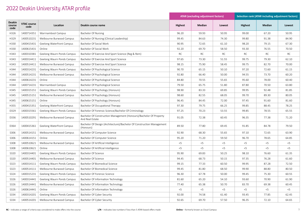|                                 |                            |                            |                                                                                       | <b>ATAR (excluding adjustment factors)</b> |        |           | <b>Selection rank (ATAR including adjustment factors)</b> |           |           |  |  |
|---------------------------------|----------------------------|----------------------------|---------------------------------------------------------------------------------------|--------------------------------------------|--------|-----------|-----------------------------------------------------------|-----------|-----------|--|--|
| <b>Deakin</b><br>course<br>code | <b>VTAC course</b><br>code | Location                   | Deakin course name                                                                    | <b>Highest</b>                             | Median | Lowest    | <b>Highest</b>                                            | Median    | Lowest    |  |  |
| H326                            | 1400714351                 | Warrnambool Campus         | Bachelor Of Nursing                                                                   | 96.20                                      | 59.93  | 50.95     | 99.00                                                     | 67.20     | 50.95     |  |  |
| H329                            | 1400510231                 | Melbourne Burwood Campus   | Bachelor Of Nursing (Clinical Leadership)                                             | 99.45                                      | 84.63  | 74.30     | 99.80                                                     | 91.38     | 84.90     |  |  |
| H330                            | 1400415431                 | Geelong Waterfront Campus  | Bachelor Of Social Work                                                               | 90.95                                      | 72.65  | 61.10     | 98.20                                                     | 79.15     | 67.30     |  |  |
| H330                            | 1400615431                 | Online                     | Bachelor Of Social Work                                                               | 92.20                                      | 69.70  | 58.50     | 93.30                                                     | 76.55     | 70.50     |  |  |
| H343                            | 1400310381                 | Geelong Waurn Ponds Campus | Bachelor Of Exercise And Sport Science (Reg & Rem)                                    | RC                                         | RC     | <b>RC</b> | <b>RC</b>                                                 | <b>RC</b> | <b>RC</b> |  |  |
| H343                            | 1400314411                 | Geelong Waurn Ponds Campus | Bachelor Of Exercise And Sport Science                                                | 97.65                                      | 73.30  | 51.55     | 99.75                                                     | 79.30     | 62.10     |  |  |
| H343                            | 1400514411                 | Melbourne Burwood Campus   | Bachelor Of Exercise And Sport Science                                                | 98.15                                      | 75.90  | 58.45     | 99.75                                                     | 82.70     | 70.00     |  |  |
| H344                            | 1400314231                 | Geelong Waurn Ponds Campus | Bachelor Of Psychological Science                                                     | 90.70                                      | 65.15  | 50.10     | 97.20                                                     | 72.60     | 61.15     |  |  |
| H344                            | 1400514231                 | Melbourne Burwood Campus   | Bachelor Of Psychological Science                                                     | 92.80                                      | 66.40  | 50.00     | 94.55                                                     | 73.70     | 60.20     |  |  |
| H344                            | 1400614231                 | Online                     | Bachelor Of Psychological Science                                                     | 84.80                                      | 70.55  | 55.65     | 95.60                                                     | 78.00     | 60.40     |  |  |
| H344                            | 1400714231                 | Warrnambool Campus         | Bachelor Of Psychological Science                                                     | 79.50                                      | 65.75  | 51.80     | 87.80                                                     | 70.50     | 63.80     |  |  |
| H345                            | 1400315151                 | Geelong Waurn Ponds Campus | Bachelor Of Psychology (Honours)                                                      | 98.90                                      | 83.33  | 69.85     | 99.95                                                     | 92.48     | 81.85     |  |  |
| H345                            | 1400515151                 | Melbourne Burwood Campus   | Bachelor Of Psychology (Honours)                                                      | 98.60                                      | 82.55  | 68.05     | 99.70                                                     | 89.30     | 80.05     |  |  |
| H345                            | 1400615151                 | Online                     | Bachelor Of Psychology (Honours)                                                      | 96.45                                      | 84.45  | 72.00     | 97.45                                                     | 91.60     | 81.60     |  |  |
| H355                            | 1400415351                 | Geelong Waterfront Campus  | Bachelor Of Occupational Therapy                                                      | 97.30                                      | 79.75  | 66.25     | 99.85                                                     | 88.45     | 78.25     |  |  |
| D329                            | 1400315561                 | Geelong Waurn Ponds Campus | Bachelor Of Forensic Science/Bachelor Of Criminology                                  | 97.25                                      | 70.23  | 53.55     | 99.85                                                     | 78.55     | 65.55     |  |  |
| D336                            | 1400510291                 | Melbourne Burwood Campus   | Bachelor Of Construction Management (Honours)/Bachelor Of Property<br>And Real Estate | 91.05                                      | 72.38  | 60.45     | 96.35                                                     | 77.38     | 71.20     |  |  |
| D364                            | 1400415361                 | Geelong Waterfront Campus  | Bachelor Of Design (Architecture)/Bachelor Of Construction Management<br>(Honours)    | 89.50                                      | 77.80  | 69.45     | 91.85                                                     | 84.78     | 79.50     |  |  |
| S306                            | 1400514151                 | Melbourne Burwood Campus   | Bachelor Of Computer Science                                                          | 92.90                                      | 68.30  | 55.65     | 97.10                                                     | 72.65     | 63.90     |  |  |
| S306                            | 1400614151                 | Online                     | Bachelor Of Computer Science                                                          | 95.20                                      | 71.20  | 59.50     | 96.70                                                     | 78.65     | 64.85     |  |  |
| S308                            | 1400510621                 | Melbourne Burwood Campus   | Bachelor Of Artificial Intelligence                                                   | $<$ 5                                      | $<$ 5  | $<$ 5     | $<$ 5                                                     | $<$ 5     | $<$ 5     |  |  |
| S308                            | 1400610621                 | Online                     | Bachelor Of Artificial Intelligence                                                   | $<$ 5                                      | $<$ 5  | $<$ 5     | $<$ 5                                                     | $<$ 5     | $<$ 5     |  |  |
| S320                            | 1400314401                 | Geelong Waurn Ponds Campus | Bachelor Of Science                                                                   | 95.90                                      | 69.83  | 50.25     | 98.10                                                     | 76.60     | 61.35     |  |  |
| S320                            | 1400514401                 | Melbourne Burwood Campus   | Bachelor Of Science                                                                   | 94.45                                      | 68.73  | 50.15     | 97.35                                                     | 76.28     | 61.60     |  |  |
| S323                            | 1400314111                 | Geelong Waurn Ponds Campus | Bachelor Of Biomedical Science                                                        | 99.15                                      | 77.33  | 60.50     | 99.95                                                     | 87.28     | 72.50     |  |  |
| S323                            | 1400514111                 | Melbourne Burwood Campus   | Bachelor Of Biomedical Science                                                        | 99.45                                      | 81.80  | 68.50     | 99.90                                                     | 88.80     | 80.50     |  |  |
| S324                            | 1400315231                 | Geelong Waurn Ponds Campus | Bachelor Of Forensic Science                                                          | 96.30                                      | 67.78  | 50.00     | 99.45                                                     | 75.30     | 60.55     |  |  |
| S326                            | 1400314441                 | Geelong Waurn Ponds Campus | Bachelor Of Information Technology                                                    | 81.60                                      | 65.20  | 54.10     | 93.60                                                     | 70.90     | 61.90     |  |  |
| S326                            | 1400514441                 | Melbourne Burwood Campus   | Bachelor Of Information Technology                                                    | 77.40                                      | 65.38  | 50.70     | 83.70                                                     | 69.38     | 60.45     |  |  |
| S326                            | 1400614441                 | Online                     | Bachelor Of Information Technology                                                    | $<$ 5                                      | $<$ 5  | $<$ 5     | $<$ 5                                                     | $<$ 5     | $<$ 5     |  |  |
| S334                            | 1400314201                 | Geelong Waurn Ponds Campus | Bachelor Of Cyber Security                                                            | 92.00                                      | 74.58  | 61.40     | 93.45                                                     | 77.85     | 62.45     |  |  |
| S334                            | 1400514201                 | Melbourne Burwood Campus   | Bachelor Of Cyber Security                                                            | 92.65                                      | 69.70  | 57.50     | 96.35                                                     | 72.10     | 64.65     |  |  |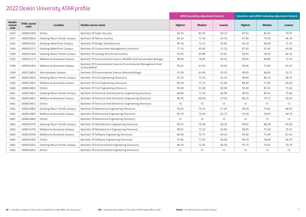|                                 |                            |                                  |                                                                                    |         | <b>ATAR (excluding adjustment factors)</b> |        | <b>Selection rank (ATAR including adjustment factors)</b> |        |        |  |  |
|---------------------------------|----------------------------|----------------------------------|------------------------------------------------------------------------------------|---------|--------------------------------------------|--------|-----------------------------------------------------------|--------|--------|--|--|
| <b>Deakin</b><br>course<br>code | <b>VTAC course</b><br>code | Location                         | Deakin course name                                                                 | Highest | Median                                     | Lowest | <b>Highest</b>                                            | Median | Lowest |  |  |
| S334                            | 1400614201                 | Online                           | Bachelor Of Cyber Security                                                         | 82.55   | 81.05                                      | 60.15  | 87.55                                                     | 82.05  | 70.55  |  |  |
| S337                            | 1400310631                 | Geelong Waurn Ponds Campus       | Bachelor Of Marine Science                                                         | 90.10   | 71.40                                      | 54.70  | 97.90                                                     | 79.30  | 66.70  |  |  |
| S342                            | 1400415021                 | <b>Geelong Waterfront Campus</b> | Bachelor Of Design (Architecture)                                                  | 94.70   | 72.15                                      | 59.85  | 99.10                                                     | 80.08  | 71.75  |  |  |
| S346                            | 1400415571                 | Geelong Waterfront Campus        | Bachelor Of Construction Management (Honours)                                      | 77.35   | 63.60                                      | 51.10  | 87.65                                                     | 67.45  | 60.30  |  |  |
| S369                            | 1400315481                 | Geelong Waurn Ponds Campus       | Bachelor Of Zoology And Animal Science                                             | 95.05   | 69.88                                      | 55.65  | 99.45                                                     | 78.30  | 66.25  |  |  |
| S393                            | 1400514171                 | Melbourne Burwood Campus         | Bachelor Of Environmental Science (Wildlife And Conservation Biology)              | 98.40   | 76.95                                      | 63.35  | 99.95                                                     | 84.80  | 75.10  |  |  |
| S398                            | 1400516461                 | Melbourne Burwood Campus         | Bachelor Of Environmental Science (Environmental Management And<br>Sustainability) | 99.25   | 67.63                                      | 50.65  | 99.95                                                     | 72.80  | 61.55  |  |  |
| S399                            | 1400718041                 | Warrnambool Campus               | Bachelor Of Environmental Science (Marine Biology)                                 | 97.90   | 63.40                                      | 50.10  | 99.95                                                     | 68.83  | 52.15  |  |  |
| S460                            | 1400314821                 | Geelong Waurn Ponds Campus       | Bachelor Of Civil Engineering (Honours)                                            | 92.15   | 73.10                                      | 62.10  | 98.65                                                     | 80.10  | 68.75  |  |  |
| S460                            | 1400514821                 | Melbourne Burwood Campus         | Bachelor Of Civil Engineering (Honours)                                            | 85.50   | 71.75                                      | 61.90  | 88.40                                                     | 77.85  | 69.20  |  |  |
| S460                            | 1400614821                 | Online                           | Bachelor Of Civil Engineering (Honours)                                            | 95.40   | 91.08                                      | 69.90  | 95.40                                                     | 92.35  | 71.30  |  |  |
| S461                            | 1400314811                 | Geelong Waurn Ponds Campus       | Bachelor Of Electrical And Electronics Engineering (Honours)                       | 86.80   | 71.20                                      | 66.90  | 96.55                                                     | 80.45  | 75.40  |  |  |
| S461                            | 1400514811                 | Melbourne Burwood Campus         | Bachelor Of Electrical And Electronics Engineering (Honours)                       | 80.35   | 69.40                                      | 57.50  | 86.25                                                     | 79.75  | 69.50  |  |  |
| S461                            | 1400614811                 | Online                           | Bachelor Of Electrical And Electronics Engineering (Honours)                       | $<$ 5   | $<$ 5                                      | $<$ 5  | $<$ 5                                                     | $<$ 5  | $<$ 5  |  |  |
| S462                            | 1400314801                 | Geelong Waurn Ponds Campus       | Bachelor Of Mechanical Engineering (Honours)                                       | 95.65   | 76.23                                      | 57.45  | 99.20                                                     | 79.65  | 68.95  |  |  |
| S462                            | 1400514801                 | Melbourne Burwood Campus         | Bachelor Of Mechanical Engineering (Honours)                                       | 85.70   | 73.05                                      | 62.75  | 93.50                                                     | 78.45  | 69.70  |  |  |
| S462                            | 1400614801                 | Online                           | Bachelor Of Mechanical Engineering (Honours)                                       | $<$ 5   | $<$ 5                                      | $<$ 5  | $<$ 5                                                     | $<$ 5  | 5<     |  |  |
| S463                            | 1400314791                 | Geelong Waurn Ponds Campus       | Bachelor Of Mechatronics Engineering (Honours)                                     | 99.75   | 79.40                                      | 60.35  | 99.95                                                     | 88.38  | 65.00  |  |  |
| S463                            | 1400514791                 | Melbourne Burwood Campus         | Bachelor Of Mechatronics Engineering (Honours)                                     | 98.55   | 72.33                                      | 63.80  | 99.95                                                     | 75.58  | 70.15  |  |  |
| S464                            | 1400510341                 | Melbourne Burwood Campus         | Bachelor Of Software Engineering (Honours)                                         | 86.00   | 70.75                                      | 60.10  | 95.40                                                     | 75.00  | 67.65  |  |  |
| S464                            | 1400610341                 | Online                           | Bachelor Of Software Engineering (Honours)                                         | 97.85   | 77.05                                      | 66.00  | 99.10                                                     | 78.00  | 66.70  |  |  |
| S465                            | 1400310431                 | Geelong Waurn Ponds Campus       | Bachelor Of Environmental Engineering (Honours)                                    | 89.70   | 72.45                                      | 66.30  | 97.75                                                     | 79.05  | 70.70  |  |  |
| S465                            | 1400610431                 | Online                           | Bachelor Of Environmental Engineering (Honours)                                    | $<$ 5   | $<$ 5                                      | $<$ 5  | $<$ 5                                                     | $<$ 5  | $<$ 5  |  |  |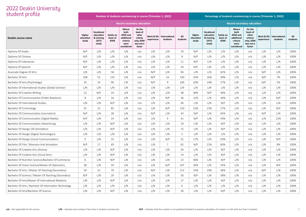| student profile                                       |                              |                                                         |                                      | Number of students commencing in course (Trimester 1, 2022)                      |                                                                              |            |                                         |                 |                              |                                                                |                                      | Percentage of students commencing in course (Trimester 1, 2022)                  |                                                                              |            |                                         |                 |
|-------------------------------------------------------|------------------------------|---------------------------------------------------------|--------------------------------------|----------------------------------------------------------------------------------|------------------------------------------------------------------------------|------------|-----------------------------------------|-----------------|------------------------------|----------------------------------------------------------------|--------------------------------------|----------------------------------------------------------------------------------|------------------------------------------------------------------------------|------------|-----------------------------------------|-----------------|
|                                                       |                              |                                                         |                                      | <b>Recent secondary education:</b>                                               |                                                                              |            |                                         |                 |                              |                                                                |                                      | <b>Recent secondary education:</b>                                               |                                                                              |            |                                         |                 |
| Deakin course name                                    | Higher<br>education<br>study | Vocational<br>education<br>& training<br>(VET)<br>study | Solely on<br>basis of<br><b>ATAR</b> | Where<br>both<br><b>ATAR and</b><br>additional<br>criteria<br>were<br>considered | On the<br>basis of<br>other<br>criteria<br>only, ATAR<br>was not a<br>factor | experience | Work & life   International<br>students | All<br>students | Higher<br>education<br>study | <b>Vocational</b><br>education<br>& training<br>(VET)<br>study | Solely on<br>basis of<br><b>ATAR</b> | Where<br>both<br><b>ATAR and</b><br>additional<br>criteria<br>were<br>considered | On the<br>basis of<br>other<br>criteria<br>only, ATAR<br>was not a<br>factor | experience | Work & life   International<br>students | All<br>students |
| Diploma Of Arabic                                     | N/P                          | L/N                                                     | L/N                                  | L/N                                                                              | n/a                                                                          | L/N        | L/N                                     | 19              | N/P                          | L/N                                                            | L/N                                  | L/N                                                                              | n/a                                                                          | L/N        | L/N                                     | 100%            |
| Diploma Of Chinese                                    | N/P                          | L/N                                                     | L/N                                  | L/N                                                                              | n/a                                                                          | L/N        | L/N                                     | 8               | N/P                          | L/N                                                            | L/N                                  | L/N                                                                              | n/a                                                                          | L/N        | L/N                                     | 100%            |
| Diploma Of Indonesian                                 | N/P                          | L/N                                                     | L/N                                  | L/N                                                                              | n/a                                                                          | L/N        | L/N                                     | 11              | N/P                          | L/N                                                            | L/N                                  | L/N                                                                              | n/a                                                                          | L/N        | L/N                                     | 100%            |
| Diploma Of Spanish                                    | N/P                          | L/N                                                     | L/N                                  | L/N                                                                              | n/a                                                                          | L/N        | L/N                                     | 34              | N/P                          | L/N                                                            | L/N                                  | L/N                                                                              | n/a                                                                          | L/N        | L/N                                     | 100%            |
| Associate Degree Of Arts                              | L/N                          | L/N                                                     | 58                                   | L/N                                                                              | n/a                                                                          | N/P        | L/N                                     | 94              | L/N                          | L/N                                                            | 62%                                  | L/N                                                                              | n/a                                                                          | N/P        | L/N                                     | 100%            |
| Bachelor Of Arts                                      | 108                          | 53                                                      | 133                                  | L/N                                                                              | n/a                                                                          | N/P        | 24                                      | 330             | 33%                          | 16%                                                            | 40%                                  | L/N                                                                              | n/a                                                                          | N/P        | 7%                                      | 100%            |
| Bachelor Of Arts (Psychology)                         | 33                           | 24                                                      | 96                                   | L/N                                                                              | n/a                                                                          | N/P        | 9                                       | 169             | 20%                          | 14%                                                            | 57%                                  | L/N                                                                              | n/a                                                                          | N/P        | 5%                                      | 100%            |
| Bachelor Of International Studies (Global Scholar)    | L/N                          | L/N                                                     | L/N                                  | L/N                                                                              | n/a                                                                          | L/N        | L/N                                     | L/N             | L/N                          | L/N                                                            | L/N                                  | L/N                                                                              | n/a                                                                          | L/N        | L/N                                     | 100%            |
| Bachelor Of Creative Writing                          | 22                           | N/P                                                     | 19                                   | L/N                                                                              | n/a                                                                          | L/N        | L/N                                     | 48              | 46%                          | N/P                                                            | 40%                                  | L/N                                                                              | n/a                                                                          | L/N        | L/N                                     | 100%            |
| Bachelor Of Communication (Public Relations)          | 8                            | L/N                                                     | 16                                   | L/N                                                                              | n/a                                                                          | L/N        | N/P                                     | 36              | 22%                          | L/N                                                            | 44%                                  | L/N                                                                              | n/a                                                                          | L/N        | N/P                                     | 100%            |
| Bachelor Of International Studies                     | L/N                          | L/N                                                     | N/P                                  | L/N                                                                              | n/a                                                                          | L/N        | L/N                                     | 40              | L/N                          | L/N                                                            | N/P                                  | L/N                                                                              | n/a                                                                          | L/N        | L/N                                     | 100%            |
| Bachelor Of Criminology                               | 35                           | 23                                                      | 85                                   | L/N                                                                              | n/a                                                                          | L/N        | N/P                                     | 150             | 23%                          | 15%                                                            | 57%                                  | L/N                                                                              | n/a                                                                          | L/N        | N/P                                     | 100%            |
| Bachelor Of Communication (Journalism)                | N/P                          | L/N                                                     | 28                                   | L/N                                                                              | n/a                                                                          | N/P        | L/N                                     | 43              | N/P                          | L/N                                                            | 65%                                  | L/N                                                                              | n/a                                                                          | N/P        | L/N                                     | 100%            |
| Bachelor Of Communication (Digital Media)             | N/P                          | L/N                                                     | 24                                   | L/N                                                                              | n/a                                                                          | L/N        | 9                                       | 41              | N/P                          | L/N                                                            | 59%                                  | L/N                                                                              | n/a                                                                          | L/N        | 22%                                     | 100%            |
| Bachelor Of Communication (Advertising)               | L/N                          | L/N                                                     | N/P                                  | L/N                                                                              | n/a                                                                          | L/N        | L/N                                     | 19              | L/N                          | L/N                                                            | N/P                                  | L/N                                                                              | n/a                                                                          | L/N        | L/N                                     | 100%            |
| Bachelor Of Design (3D Animation)                     | L/N                          | L/N                                                     | N/P                                  | L/N                                                                              | n/a                                                                          | L/N        | L/N                                     | 15              | L/N                          | L/N                                                            | N/P                                  | L/N                                                                              | n/a                                                                          | L/N        | L/N                                     | 100%            |
| Bachelor Of Design (Digital Technologies)             | L/N                          | L/N                                                     | L/N                                  | L/N                                                                              | n/a                                                                          | L/N        | L/N                                     | 5               | L/N                          | L/N                                                            | L/N                                  | L/N                                                                              | n/a                                                                          | L/N        | L/N                                     | 100%            |
| Bachelor Of Design (Visual Communication)             | 9                            | L/N                                                     | 33                                   | L/N                                                                              | n/a                                                                          | L/N        | N/P                                     | 52              | 17%                          | L/N                                                            | 63%                                  | L/N                                                                              | n/a                                                                          | L/N        | N/P                                     | 100%            |
| Bachelor Of Film, Television And Animation            | N/P                          | 17                                                      | 49                                   | L/N                                                                              | n/a                                                                          | L/N        | $7\overline{ }$                         | 82              | N/P                          | 21%                                                            | 60%                                  | L/N                                                                              | n/a                                                                          | L/N        | 9%                                      | 100%            |
| Bachelor Of Creative Arts (Drama)                     | L/N                          | L/N                                                     | N/P                                  | L/N                                                                              | n/a                                                                          | L/N        | L/N                                     | 34              | L/N                          | L/N                                                            | N/P                                  | L/N                                                                              | n/a                                                                          | L/N        | L/N                                     | 100%            |
| Bachelor Of Creative Arts (Visual Arts)               | L/N                          | L/N                                                     | N/P                                  | L/N                                                                              | n/a                                                                          | L/N        | L/N                                     | 14              | L/N                          | L/N                                                            | N/P                                  | L/N                                                                              | n/a                                                                          | L/N        | L/N                                     | 100%            |
| Bachelor Of Nutrition Science/Bachelor Of Commerce    | 6                            | L/N                                                     | N/P                                  | L/N                                                                              | n/a                                                                          | L/N        | L/N                                     | 13              | 46%                          | L/N                                                            | N/P                                  | L/N                                                                              | n/a                                                                          | L/N        | L/N                                     | 100%            |
| Bachelor Of Vision Science/Master Of Optometry        | 38                           | L/N                                                     | 59                                   | L/N                                                                              | n/a                                                                          | L/N        | N/P                                     | 107             | 36%                          | L/N                                                            | 55%                                  | L/N                                                                              | n/a                                                                          | L/N        | N/P                                     | 100%            |
| Bachelor Of Arts / Master Of Teaching (Secondary)     | 50                           | 15                                                      | 70                                   | L/N                                                                              | n/a                                                                          | N/P        | L/N                                     | 152             | 33%                          | 10%                                                            | 46%                                  | L/N                                                                              | n/a                                                                          | N/P        | L/N                                     | 100%            |
| Bachelor Of Science / Master Of Teaching (Secondary)  | N/P                          | L/N                                                     | 29                                   | L/N                                                                              | n/a                                                                          | L/N        | L/N                                     | 50              | N/P                          | L/N                                                            | 58%                                  | L/N                                                                              | n/a                                                                          | L/N        | L/N                                     | 100%            |
| Bachelor Of Arts/Master Of International Relations    | L/N                          | L/N                                                     | N/P                                  | L/N                                                                              | n/a                                                                          | L/N        | L/N                                     | 27              | L/N                          | L/N                                                            | N/P                                  | L/N                                                                              | n/a                                                                          | L/N        | L/N                                     | 100%            |
| Bachelor Of Arts / Bachelor Of Information Technology | L/N                          | L/N                                                     | L/N                                  | L/N                                                                              | n/a                                                                          | L/N        | L/N                                     | 6               | L/N                          | L/N                                                            | L/N                                  | L/N                                                                              | n/a                                                                          | L/N        | L/N                                     | 100%            |
| Bachelor Of Arts/Bachelor Of Science                  | L/N                          | L/N                                                     | N/P                                  | L/N                                                                              | n/a                                                                          | L/N        | L/N                                     | 30              | L/N                          | L/N                                                            | N/P                                  | L/N                                                                              | n/a                                                                          | L/N        | L/N                                     | 100%            |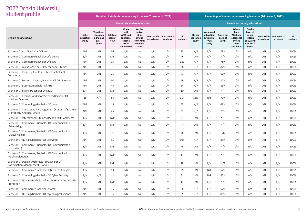| student profile                                                                       |                              |                                                         |                                      | Number of students commencing in course (Trimester 1, 2022)                      |                                                                              |                           |                           |                 | Percentage of students commencing in course (Trimester 1, 2022) |                                                         |                                      |                                                                                  |                                                                              |                           |                           |                 |
|---------------------------------------------------------------------------------------|------------------------------|---------------------------------------------------------|--------------------------------------|----------------------------------------------------------------------------------|------------------------------------------------------------------------------|---------------------------|---------------------------|-----------------|-----------------------------------------------------------------|---------------------------------------------------------|--------------------------------------|----------------------------------------------------------------------------------|------------------------------------------------------------------------------|---------------------------|---------------------------|-----------------|
|                                                                                       |                              |                                                         |                                      | <b>Recent secondary education:</b>                                               |                                                                              |                           |                           |                 |                                                                 |                                                         |                                      | <b>Recent secondary education:</b>                                               |                                                                              |                           |                           |                 |
| Deakin course name                                                                    | Higher<br>education<br>study | Vocational<br>education<br>& training<br>(VET)<br>study | Solely on<br>basis of<br><b>ATAR</b> | Where<br>both<br><b>ATAR and</b><br>additional<br>criteria<br>were<br>considered | On the<br>basis of<br>other<br>criteria<br>only, ATAR<br>was not a<br>factor | Work & life<br>experience | International<br>students | All<br>students | Higher<br>education<br>study                                    | Vocational<br>education<br>& training<br>(VET)<br>study | Solely on<br>basis of<br><b>ATAR</b> | Where<br>both<br><b>ATAR and</b><br>additional<br>criteria<br>were<br>considered | On the<br>basis of<br>other<br>criteria<br>only, ATAR<br>was not a<br>factor | Work & life<br>experience | International<br>students | All<br>students |
| Bachelor Of Arts/Bachelor Of Laws                                                     | N/P                          | L/N                                                     | 66                                   | L/N                                                                              | n/a                                                                          | L/N                       | L/N                       | 85              | N/P                                                             | L/N                                                     | 78%                                  | L/N                                                                              | n/a                                                                          | L/N                       | L/N                       | 100%            |
| Bachelor Of Commerce/Bachelor Of Science                                              | L/N                          | L/N                                                     | N/P                                  | L/N                                                                              | n/a                                                                          | L/N                       | L/N                       | 9               | L/N                                                             | L/N                                                     | N/P                                  | L/N                                                                              | n/a                                                                          | L/N                       | L/N                       | 100%            |
| Bachelor Of Commerce/Bachelor Of Laws                                                 | N/P                          | L/N                                                     | 95                                   | L/N                                                                              | n/a                                                                          | L/N                       | L/N                       | 122             | N/P                                                             | L/N                                                     | 78%                                  | L/N                                                                              | n/a                                                                          | L/N                       | L/N                       | 100%            |
| Bachelor Of Laws/Bachelor Of International Studies                                    | N/P                          | L/N                                                     | 31                                   | L/N                                                                              | n/a                                                                          | L/N                       | L/N                       | 38              | N/P                                                             | L/N                                                     | 82%                                  | L/N                                                                              | n/a                                                                          | L/N                       | L/N                       | 100%            |
| Bachelor Of Property And Real Estate/Bachelor Of<br>Commerce                          | N/P                          | L/N                                                     | 25                                   | L/N                                                                              | n/a                                                                          | L/N                       | L/N                       | 41              | N/P                                                             | L/N                                                     | 61%                                  | L/N                                                                              | n/a                                                                          | L/N                       | L/N                       | 100%            |
| Bachelor Of Forensic Science/Bachelor Of Criminology                                  | N/P                          | L/N                                                     | 60                                   | L/N                                                                              | n/a                                                                          | L/N                       | L/N                       | 69              | N/P                                                             | L/N                                                     | 87%                                  | L/N                                                                              | n/a                                                                          | L/N                       | L/N                       | 100%            |
| Bachelor Of Business/Bachelor Of Arts                                                 | N/P                          | L/N                                                     | 45                                   | L/N                                                                              | n/a                                                                          | L/N                       | L/N                       | 54              | N/P                                                             | L/N                                                     | 83%                                  | L/N                                                                              | n/a                                                                          | L/N                       | L/N                       | 100%            |
| Bachelor Of Science/Bachelor Of Laws                                                  | L/N                          | L/N                                                     | N/P                                  | L/N                                                                              | n/a                                                                          | L/N                       | L/N                       | 10              | L/N                                                             | L/N                                                     | N/P                                  | L/N                                                                              | n/a                                                                          | L/N                       | L/N                       | 100%            |
| Bachelor Of Exercise And Sport Science/Bachelor Of<br>Nutrition Science               | 15                           | N/P                                                     | 83                                   | L/N                                                                              | n/a                                                                          | L/N                       | L/N                       | 114             | 13%                                                             | N/P                                                     | 73%                                  | L/N                                                                              | n/a                                                                          | L/N                       | L/N                       | 100%            |
| Bachelor Of Criminology/Bachelor Of Laws                                              | N/P                          | L/N                                                     | 45                                   | L/N                                                                              | n/a                                                                          | L/N                       | L/N                       | 65              | N/P                                                             | L/N                                                     | 69%                                  | L/N                                                                              | n/a                                                                          | L/N                       | L/N                       | 100%            |
| Bachelor Of Construction Management (Honours)/Bachelor<br>Of Property And Real Estate | N/P                          | L/N                                                     | 25                                   | L/N                                                                              | n/a                                                                          | L/N                       | L/N                       | 32              | N/P                                                             | L/N                                                     | 78%                                  | L/N                                                                              | n/a                                                                          | L/N                       | L/N                       | 100%            |
| Bachelor Of International Studies/Bachelor Of Commerce                                | L/N                          | L/N                                                     | N/P                                  | L/N                                                                              | n/a                                                                          | L/N                       | L/N                       | 23              | L/N                                                             | L/N                                                     | N/P                                  | L/N                                                                              | n/a                                                                          | L/N                       | L/N                       | 100%            |
| Bachelor Of Commerce / Bachelor Of Communication<br>(Advertising)                     | L/N                          | L/N                                                     | N/P                                  | L/N                                                                              | n/a                                                                          | L/N                       | L/N                       | $\overline{7}$  | L/N                                                             | L/N                                                     | N/P                                  | L/N                                                                              | n/a                                                                          | L/N                       | L/N                       | 100%            |
| Bachelor Of Commerce / Bachelor Of Communication<br>(Digital Media)                   | L/N                          | L/N                                                     | L/N                                  | L/N                                                                              | n/a                                                                          | L/N                       | L/N                       | 8               | L/N                                                             | L/N                                                     | L/N                                  | L/N                                                                              | n/a                                                                          | L/N                       | L/N                       | 100%            |
| Bachelor Of Nursing/Bachelor Of Midwifery                                             | N/P                          | L/N                                                     | 85                                   | L/N                                                                              | n/a                                                                          | L/N                       | L/N                       | 105             | N/P                                                             | L/N                                                     | 81%                                  | L/N                                                                              | n/a                                                                          | L/N                       | L/N                       | 100%            |
| Bachelor Of Commerce / Bachelor Of Communication<br>(Journalism)                      | L/N                          | L/N                                                     | N/P                                  | L/N                                                                              | n/a                                                                          | L/N                       | L/N                       | 6               | L/N                                                             | L/N                                                     | N/P                                  | L/N                                                                              | n/a                                                                          | L/N                       | L/N                       | 100%            |
| Bachelor Of Commerce / Bachelor Of Communication<br>(Public Relations)                | L/N                          | L/N                                                     | N/P                                  | L/N                                                                              | n/a                                                                          | L/N                       | L/N                       | 11              | L/N                                                             | L/N                                                     | N/P                                  | L/N                                                                              | n/a                                                                          | L/N                       | L/N                       | 100%            |
| Bachelor Of Design (Architecture)/Bachelor Of<br>Construction Management (Honours)    | L/N                          | L/N                                                     | N/P                                  | L/N                                                                              | n/a                                                                          | L/N                       | L/N                       | 18              | L/N                                                             | L/N                                                     | N/P                                  | L/N                                                                              | n/a                                                                          | L/N                       | L/N                       | 100%            |
| Bachelor Of Commerce/Bachelor Of Business Analytics                                   | L/N                          | N/P                                                     | 13                                   | L/N                                                                              | n/a                                                                          | L/N                       | L/N                       | 25              | L/N                                                             | N/P                                                     | 52%                                  | L/N                                                                              | n/a                                                                          | L/N                       | L/N                       | 100%            |
| Bachelor Of Criminology/Bachelor Of Cyber Security                                    | L/N                          | N/P                                                     | 42                                   | L/N                                                                              | n/a                                                                          | L/N                       | L/N                       | 51              | L/N                                                             | N/P                                                     | 82%                                  | L/N                                                                              | n/a                                                                          | L/N                       | L/N                       | 100%            |
| Bachelor Of Nursing/Bachelor Of Public Health And Health<br>Promotion                 | L/N                          | L/N                                                     | N/P                                  | L/N                                                                              | n/a                                                                          | L/N                       | L/N                       | 12              | L/N                                                             | L/N                                                     | N/P                                  | L/N                                                                              | n/a                                                                          | L/N                       | L/N                       | 100%            |
| Bachelor Of Commerce/Bachelor Of Arts                                                 | N/P                          | L/N                                                     | 16                                   | L/N                                                                              | n/a                                                                          | L/N                       | L/N                       | 28              | N/P                                                             | L/N                                                     | 57%                                  | L/N                                                                              | n/a                                                                          | L/N                       | L/N                       | 100%            |
| Bachelor Of Nursing/Bachelor Of Psychological Science                                 | N/P                          | L/N                                                     | 56                                   | L/N                                                                              | n/a                                                                          | L/N                       | L/N                       | 65              | N/P                                                             | L/N                                                     | 86%                                  | L/N                                                                              | n/a                                                                          | L/N                       | L/N                       | 100%            |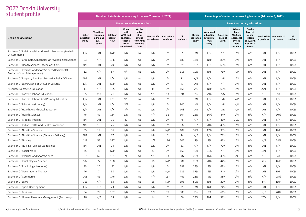| student profile                                                                   |                              |                                                         |                                      | Number of students commencing in course (Trimester 1, 2022)                      |                                                                              |                           |                           |                 | Percentage of students commencing in course (Trimester 1, 2022) |                                                         |                                      |                                                                                  |                                                                              |                           |                           |                 |
|-----------------------------------------------------------------------------------|------------------------------|---------------------------------------------------------|--------------------------------------|----------------------------------------------------------------------------------|------------------------------------------------------------------------------|---------------------------|---------------------------|-----------------|-----------------------------------------------------------------|---------------------------------------------------------|--------------------------------------|----------------------------------------------------------------------------------|------------------------------------------------------------------------------|---------------------------|---------------------------|-----------------|
|                                                                                   |                              |                                                         |                                      | <b>Recent secondary education:</b>                                               |                                                                              |                           |                           |                 |                                                                 |                                                         |                                      | <b>Recent secondary education:</b>                                               |                                                                              |                           |                           |                 |
| Deakin course name                                                                | Higher<br>education<br>study | Vocational<br>education<br>& training<br>(VET)<br>study | Solely on<br>basis of<br><b>ATAR</b> | Where<br>both<br><b>ATAR and</b><br>additional<br>criteria<br>were<br>considered | On the<br>basis of<br>other<br>criteria<br>only, ATAR<br>was not a<br>factor | Work & life<br>experience | International<br>students | All<br>students | Higher<br>education<br>study                                    | Vocational<br>education<br>& training<br>(VET)<br>study | Solely on<br>basis of<br><b>ATAR</b> | Where<br>both<br><b>ATAR and</b><br>additional<br>criteria<br>were<br>considered | On the<br>basis of<br>other<br>criteria<br>only, ATAR<br>was not a<br>factor | Work & life<br>experience | International<br>students | All<br>students |
| Bachelor Of Public Health And Health Promotion/Bachelor<br>Of Commerce            | L/N                          | L/N                                                     | N/P                                  | L/N                                                                              | n/a                                                                          | L/N                       | L/N                       | $\overline{7}$  | L/N                                                             | L/N                                                     | N/P                                  | L/N                                                                              | n/a                                                                          | L/N                       | L/N                       | 100%            |
| Bachelor Of Criminology/Bachelor Of Psychological Science                         | 23                           | N/P                                                     | 146                                  | L/N                                                                              | n/a                                                                          | L/N                       | L/N                       | 183             | 13%                                                             | N/P                                                     | 80%                                  | L/N                                                                              | n/a                                                                          | L/N                       | L/N                       | 100%            |
| Bachelor Of Health Sciences/Bachelor Of Arts                                      | N/P                          | L/N                                                     | 20                                   | L/N                                                                              | n/a                                                                          | L/N                       | L/N                       | 29              | N/P                                                             | L/N                                                     | 69%                                  | L/N                                                                              | n/a                                                                          | L/N                       | L/N                       | 100%            |
| Bachelor Of Exercise And Sport Science/Bachelor Of<br>Business (Sport Management) | 12                           | N/P                                                     | 87                                   | N/P                                                                              | n/a                                                                          | L/N                       | L/N                       | 115             | 10%                                                             | N/P                                                     | 76%                                  | N/P                                                                              | n/a                                                                          | L/N                       | L/N                       | 100%            |
| Bachelor Of Property And Real Estate/Bachelor Of Laws                             | N/P                          | L/N                                                     | L/N                                  | L/N                                                                              | n/a                                                                          | L/N                       | L/N                       | 11              | N/P                                                             | L/N                                                     | L/N                                  | L/N                                                                              | n/a                                                                          | L/N                       | L/N                       | 100%            |
| Bachelor Of Laws/Bachelor Of Cyber Security                                       | L/N                          | L/N                                                     | N/P                                  | L/N                                                                              | n/a                                                                          | L/N                       | L/N                       | 5               | L/N                                                             | L/N                                                     | N/P                                  | L/N                                                                              | n/a                                                                          | L/N                       | L/N                       | 100%            |
| Associate Degree Of Education                                                     | 11                           | N/P                                                     | 105                                  | L/N                                                                              | n/a                                                                          | 45                        | L/N                       | 166             | 7%                                                              | N/P                                                     | 63%                                  | L/N                                                                              | n/a                                                                          | 27%                       | L/N                       | 100%            |
| Bachelor Of Early Childhood Education                                             | 35                           | 313                                                     | 21                                   | L/N                                                                              | n/a                                                                          | N/P                       | 13                        | 394             | 9%                                                              | 79%                                                     | 5%                                   | L/N                                                                              | n/a                                                                          | N/P                       | 3%                        | 100%            |
| Bachelor Of Early Childhood And Primary Education                                 | L/N                          | L/N                                                     | L/N                                  | N/P                                                                              | n/a                                                                          | L/N                       | L/N                       | 67              | L/N                                                             | L/N                                                     | L/N                                  | N/P                                                                              | n/a                                                                          | L/N                       | L/N                       | 100%            |
| Bachelor Of Education (Primary)                                                   | L/N                          | L/N                                                     | L/N                                  | N/P                                                                              | n/a                                                                          | L/N                       | L/N                       | 300             | L/N                                                             | L/N                                                     | L/N                                  | N/P                                                                              | n/a                                                                          | L/N                       | L/N                       | 100%            |
| Bachelor Of Health And Physical Education                                         | L/N                          | L/N                                                     | L/N                                  | N/P                                                                              | n/a                                                                          | L/N                       | L/N                       | 103             | L/N                                                             | L/N                                                     | L/N                                  | N/P                                                                              | n/a                                                                          | L/N                       | L/N                       | 100%            |
| Bachelor Of Health Sciences                                                       | 76                           | 49                                                      | 134                                  | L/N                                                                              | n/a                                                                          | N/P                       | 31                        | 304             | 25%                                                             | 16%                                                     | 44%                                  | L/N                                                                              | n/a                                                                          | N/P                       | 10%                       | 100%            |
| Bachelor Of Medical Imaging                                                       | N/P                          | L/N                                                     | 31                                   | 23                                                                               | n/a                                                                          | L/N                       | L/N                       | 76              | N/P                                                             | L/N                                                     | 41%                                  | 30%                                                                              | n/a                                                                          | L/N                       | L/N                       | 100%            |
| Bachelor Of Public Health And Health Promotion                                    | N/P                          | 16                                                      | 26                                   | L/N                                                                              | n/a                                                                          | L/N                       | L/N                       | 58              | N/P                                                             | 28%                                                     | 45%                                  | L/N                                                                              | n/a                                                                          | L/N                       | L/N                       | 100%            |
| Bachelor Of Nutrition Science                                                     | 35                           | 19                                                      | 36                                   | L/N                                                                              | n/a                                                                          | L/N                       | N/P                       | 109             | 32%                                                             | 17%                                                     | 33%                                  | L/N                                                                              | n/a                                                                          | L/N                       | N/P                       | 100%            |
| Bachelor Of Nutrition Science (Dietetics Pathway)                                 | N/P                          | L/N                                                     | 17                                   | L/N                                                                              | n/a                                                                          | L/N                       | L/N                       | 24              | N/P                                                             | L/N                                                     | 71%                                  | L/N                                                                              | n/a                                                                          | L/N                       | L/N                       | 100%            |
| Bachelor Of Nursing                                                               | 119                          | 55                                                      | 327                                  | L/N                                                                              | n/a                                                                          | N/P                       | 196                       | 707             | 17%                                                             | 8%                                                      | 46%                                  | L/N                                                                              | n/a                                                                          | N/P                       | 28%                       | 100%            |
| Bachelor Of Nursing (Clinical Leadership)                                         | N/P                          | L/N                                                     | 24                                   | L/N                                                                              | n/a                                                                          | L/N                       | L/N                       | 31              | N/P                                                             | L/N                                                     | 77%                                  | L/N                                                                              | n/a                                                                          | L/N                       | L/N                       | 100%            |
| Bachelor Of Social Work                                                           | 65                           | 48                                                      | N/P                                  | L/N                                                                              | n/a                                                                          | 23                        | L/N                       | 153             | 42%                                                             | 31%                                                     | N/P                                  | L/N                                                                              | n/a                                                                          | 15%                       | L/N                       | 100%            |
| Bachelor Of Exercise And Sport Science                                            | 87                           | 62                                                      | 191                                  | $\mathbf{Q}$                                                                     | n/a                                                                          | N/P                       | 33                        | 387             | 22%                                                             | 16%                                                     | 49%                                  | 2%                                                                               | n/a                                                                          | N/P                       | 9%                        | 100%            |
| Bachelor Of Psychological Science                                                 | 107                          | 77                                                      | 168                                  | L/N                                                                              | n/a                                                                          | 16                        | N/P                       | 381             | 28%                                                             | 20%                                                     | 44%                                  | L/N                                                                              | n/a                                                                          | 4%                        | N/P                       | 100%            |
| Bachelor Of Psychology (Honours)                                                  | 83                           | 20                                                      | 182                                  | L/N                                                                              | n/a                                                                          | L/N                       | L/N                       | 289             | 29%                                                             | 7%                                                      | 63%                                  | L/N                                                                              | n/a                                                                          | L/N                       | L/N                       | 100%            |
| Bachelor Of Occupational Therapy                                                  | 46                           | $\overline{7}$                                          | 68                                   | L/N                                                                              | n/a                                                                          | L/N                       | N/P                       | 126             | 37%                                                             | 6%                                                      | 54%                                  | L/N                                                                              | n/a                                                                          | L/N                       | N/P                       | 100%            |
| Bachelor Of Commerce                                                              | 108                          | 41                                                      | 176                                  | L/N                                                                              | n/a                                                                          | N/P                       | 117                       | 469             | 23%                                                             | 9%                                                      | 38%                                  | L/N                                                                              | n/a                                                                          | N/P                       | 25%                       | 100%            |
| Bachelor Of Laws                                                                  | 116                          | N/P                                                     | 53                                   | L/N                                                                              | n/a                                                                          | 15                        | N/P                       | 196             | 59%                                                             | N/P                                                     | 27%                                  | L/N                                                                              | n/a                                                                          | 8%                        | N/P                       | 100%            |
| Bachelor Of Sport Development                                                     | L/N                          | N/P                                                     | 23                                   | L/N                                                                              | n/a                                                                          | L/N                       | L/N                       | 31              | L/N                                                             | N/P                                                     | 74%                                  | L/N                                                                              | n/a                                                                          | L/N                       | L/N                       | 100%            |
| <b>Bachelor Of Business</b>                                                       | 34                           | 29                                                      | 232                                  | L/N                                                                              | n/a                                                                          | N/P                       | 77                        | 383             | 9%                                                              | 8%                                                      | 61%                                  | L/N                                                                              | n/a                                                                          | N/P                       | 20%                       | 100%            |
| Bachelor Of Human Resource Management (Psychology)                                | 16                           | N/P                                                     | 18                                   | L/N                                                                              | n/a                                                                          | 14                        | L/N                       | 56              | 29%                                                             | N/P                                                     | 32%                                  | L/N                                                                              | n/a                                                                          | 25%                       | L/N                       | 100%            |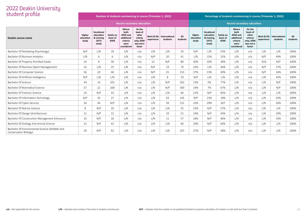| student profile                                                          |                              |                                                         |                                      | Number of students commencing in course (Trimester 1, 2022)                      |                                                                              |            |                                         |                 | Percentage of students commencing in course (Trimester 1, 2022) |                                                         |                                      |                                                                                  |                                                                              |            |                                         |                 |
|--------------------------------------------------------------------------|------------------------------|---------------------------------------------------------|--------------------------------------|----------------------------------------------------------------------------------|------------------------------------------------------------------------------|------------|-----------------------------------------|-----------------|-----------------------------------------------------------------|---------------------------------------------------------|--------------------------------------|----------------------------------------------------------------------------------|------------------------------------------------------------------------------|------------|-----------------------------------------|-----------------|
|                                                                          |                              |                                                         |                                      | <b>Recent secondary education:</b>                                               |                                                                              |            |                                         |                 |                                                                 |                                                         |                                      | <b>Recent secondary education:</b>                                               |                                                                              |            |                                         |                 |
| Deakin course name                                                       | Higher<br>education<br>study | Vocational<br>education<br>& training<br>(VET)<br>study | Solely on<br>basis of<br><b>ATAR</b> | Where<br>both<br><b>ATAR and</b><br>additional<br>criteria<br>were<br>considered | On the<br>basis of<br>other<br>criteria<br>only, ATAR<br>was not a<br>factor | experience | Work & life   International<br>students | All<br>students | Higher<br>education<br>study                                    | Vocational<br>education<br>& training<br>(VET)<br>study | Solely on<br>basis of<br><b>ATAR</b> | Where<br>both<br><b>ATAR and</b><br>additional<br>criteria<br>were<br>considered | On the<br>basis of<br>other<br>criteria<br>only, ATAR<br>was not a<br>factor | experience | Work & life   International<br>students | All<br>students |
| Bachelor Of Marketing (Psychology)                                       | N/P                          | L/N                                                     | 18                                   | L/N                                                                              | n/a                                                                          | L/N        | L/N                                     | 33              | N/P                                                             | L/N                                                     | 55%                                  | L/N                                                                              | n/a                                                                          | L/N        | L/N                                     | 100%            |
| Bachelor Of Business Analytics                                           | L/N                          | 6                                                       | 6                                    | L/N                                                                              | n/a                                                                          | N/P        | 20                                      | 41              | L/N                                                             | 15%                                                     | 15%                                  | L/N                                                                              | n/a                                                                          | N/P        | 49%                                     | 100%            |
| Bachelor Of Property And Real Estate                                     | 24                           | $\mathcal{R}$                                           | 30                                   | L/N                                                                              | n/a                                                                          | 12         | N/P                                     | 80              | 30%                                                             | 10%                                                     | 38%                                  | L/N                                                                              | n/a                                                                          | 15%        | N/P                                     | 100%            |
| Bachelor Of Business (Sport Management)                                  | 16                           | L/N                                                     | 25                                   | L/N                                                                              | n/a                                                                          | N/P        | 19                                      | 70              | 23%                                                             | L/N                                                     | 36%                                  | L/N                                                                              | n/a                                                                          | N/P        | 27%                                     | 100%            |
| Bachelor Of Computer Science                                             | 56                           | 20                                                      | 46                                   | L/N                                                                              | n/a                                                                          | N/P        | 25                                      | 153             | 37%                                                             | 13%                                                     | 30%                                  | L/N                                                                              | n/a                                                                          | N/P        | 16%                                     | 100%            |
| Bachelor Of Artificial Intelligence                                      | N/P                          | L/N                                                     | L/N                                  | L/N                                                                              | n/a                                                                          | L/N        | 8                                       | 19              | N/P                                                             | L/N                                                     | L/N                                  | L/N                                                                              | n/a                                                                          | L/N        | 42%                                     | 100%            |
| Bachelor Of Science                                                      | 34                           | 14                                                      | 201                                  | L/N                                                                              | n/a                                                                          | L/N        | N/P                                     | 262             | 13%                                                             | 5%                                                      | 77%                                  | L/N                                                                              | n/a                                                                          | L/N        | N/P                                     | 100%            |
| Bachelor Of Biomedical Science                                           | 57                           | 22                                                      | 200                                  | L/N                                                                              | n/a                                                                          | L/N        | N/P                                     | 300             | 19%                                                             | 7%                                                      | 67%                                  | L/N                                                                              | n/a                                                                          | L/N        | N/P                                     | 100%            |
| Bachelor Of Forensic Science                                             | 14                           | N/P                                                     | 43                                   | L/N                                                                              | n/a                                                                          | L/N        | L/N                                     | 66              | 21%                                                             | N/P                                                     | 65%                                  | L/N                                                                              | n/a                                                                          | L/N        | L/N                                     | 100%            |
| Bachelor Of Information Technology                                       | N/P                          | 33                                                      | 27                                   | L/N                                                                              | n/a                                                                          | L/N        | 63                                      | 145             | N/P                                                             | 23%                                                     | 19%                                  | L/N                                                                              | n/a                                                                          | L/N        | 43%                                     | 100%            |
| Bachelor Of Cyber Security                                               | 34                           | 44                                                      | N/P                                  | L/N                                                                              | n/a                                                                          | L/N        | 39                                      | 151             | 23%                                                             | 29%                                                     | N/P                                  | L/N                                                                              | n/a                                                                          | L/N        | 26%                                     | 100%            |
| Bachelor Of Marine Science                                               | 8                            | N/P                                                     | 20                                   | L/N                                                                              | n/a                                                                          | L/N        | L/N                                     | 35              | 23%                                                             | N/P                                                     | 57%                                  | L/N                                                                              | n/a                                                                          | L/N        | L/N                                     | 100%            |
| Bachelor Of Design (Architecture)                                        | 12                           | N/P                                                     | 22                                   | L/N                                                                              | n/a                                                                          | L/N        | 10                                      | 51              | 24%                                                             | N/P                                                     | 43%                                  | L/N                                                                              | n/a                                                                          | L/N        | 20%                                     | 100%            |
| Bachelor Of Construction Management (Honours)                            | 10                           | N/P                                                     | 26                                   | L/N                                                                              | n/a                                                                          | L/N        | 11                                      | 57              | 18%                                                             | N/P                                                     | 46%                                  | L/N                                                                              | n/a                                                                          | L/N        | 19%                                     | 100%            |
| Bachelor Of Zoology And Animal Science                                   | 13                           | N/P                                                     | 42                                   | L/N                                                                              | n/a                                                                          | L/N        | L/N                                     | 66              | 20%                                                             | N/P                                                     | 64%                                  | L/N                                                                              | n/a                                                                          | L/N        | L/N                                     | 100%            |
| Bachelor Of Environmental Science (Wildlife And<br>Conservation Biology) | 29                           | N/P                                                     | 62                                   | L/N                                                                              | n/a                                                                          | L/N        | L/N                                     | 107             | 27%                                                             | N/P                                                     | 58%                                  | L/N                                                                              | n/a                                                                          | L/N        | L/N                                     | 100%            |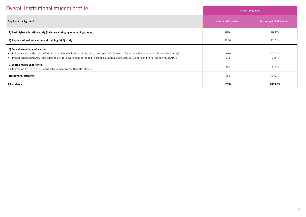| Overall institutional student profile                                                                                                                                                                                                                                                                                                        | <b>Trimester 1, 2022</b>  |                            |  |  |  |
|----------------------------------------------------------------------------------------------------------------------------------------------------------------------------------------------------------------------------------------------------------------------------------------------------------------------------------------------|---------------------------|----------------------------|--|--|--|
| <b>Applicant background</b>                                                                                                                                                                                                                                                                                                                  | <b>Number of students</b> | Percentage of all students |  |  |  |
| (A) Past higher education study (includes a bridging or enabling course)                                                                                                                                                                                                                                                                     | 2044                      | 20.90%                     |  |  |  |
| (B) Past vocational education and training (VET) study                                                                                                                                                                                                                                                                                       | 1246                      | 12.74%                     |  |  |  |
| (C) Recent secondary education<br>• Admitted solely on the basis of ATAR (regardless of whether this includes the impact of adjustment factors, such as equity or subject adjustments)<br>• Admitted where both ATAR and additional criteria were considered (e.g. portfolio, audition, extra test, early offer conditional on minimum ATAR) | 4679<br>513               | 47.84%<br>5.25%            |  |  |  |
| (D) Work and life experience<br>• Admitted on the basis of previous achievement (other than the above)                                                                                                                                                                                                                                       | 347                       | 3.55%                      |  |  |  |
| International students                                                                                                                                                                                                                                                                                                                       | 951                       | 9.72%                      |  |  |  |
| All students                                                                                                                                                                                                                                                                                                                                 | 9780                      | 100.00%                    |  |  |  |